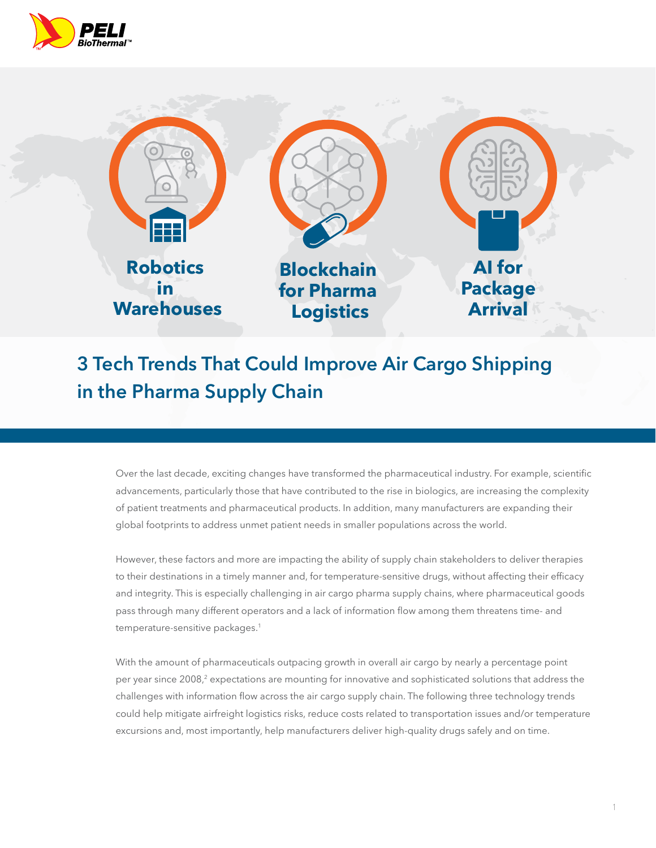



# **3 Tech Trends That Could Improve Air Cargo Shipping in the Pharma Supply Chain**

Over the last decade, exciting changes have transformed the pharmaceutical industry. For example, scientific advancements, particularly those that have contributed to the rise in biologics, are increasing the complexity of patient treatments and pharmaceutical products. In addition, many manufacturers are expanding their global footprints to address unmet patient needs in smaller populations across the world.

However, these factors and more are impacting the ability of supply chain stakeholders to deliver therapies to their destinations in a timely manner and, for temperature-sensitive drugs, without affecting their efficacy and integrity. This is especially challenging in air cargo pharma supply chains, where pharmaceutical goods pass through many different operators and a lack of information flow among them threatens time- and temperature-sensitive packages.<sup>1</sup>

With the amount of pharmaceuticals outpacing growth in overall air cargo by nearly a percentage point per year since 2008,<sup>2</sup> expectations are mounting for innovative and sophisticated solutions that address the challenges with information flow across the air cargo supply chain. The following three technology trends could help mitigate airfreight logistics risks, reduce costs related to transportation issues and/or temperature excursions and, most importantly, help manufacturers deliver high-quality drugs safely and on time.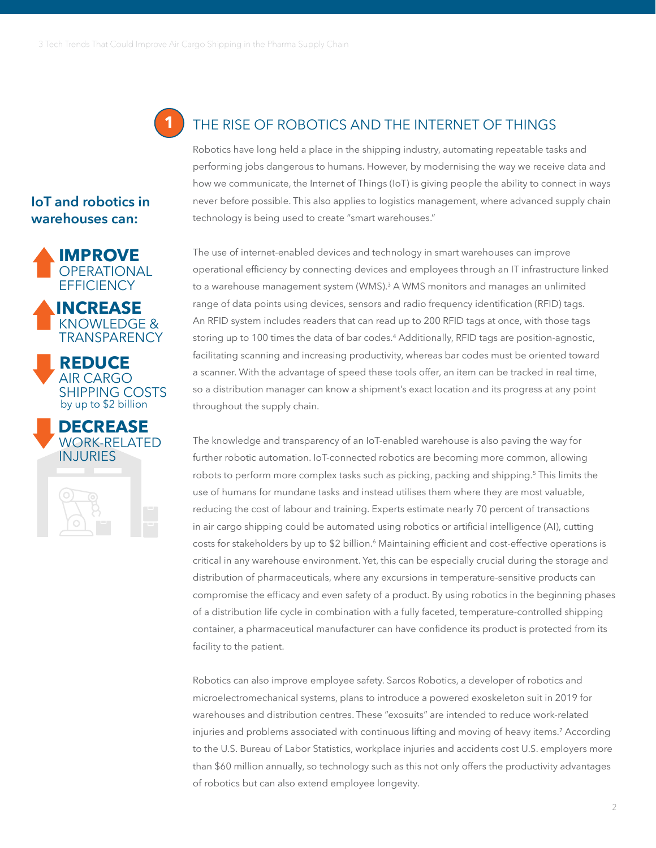**1**

## THE RISE OF ROBOTICS AND THE INTERNET OF THINGS

Robotics have long held a place in the shipping industry, automating repeatable tasks and performing jobs dangerous to humans. However, by modernising the way we receive data and how we communicate, the Internet of Things (IoT) is giving people the ability to connect in ways never before possible. This also applies to logistics management, where advanced supply chain technology is being used to create "smart warehouses."

The use of internet-enabled devices and technology in smart warehouses can improve operational efficiency by connecting devices and employees through an IT infrastructure linked to a warehouse management system (WMS).<sup>3</sup> A WMS monitors and manages an unlimited range of data points using devices, sensors and radio frequency identification (RFID) tags. An RFID system includes readers that can read up to 200 RFID tags at once, with those tags storing up to 100 times the data of bar codes.4 Additionally, RFID tags are position-agnostic, facilitating scanning and increasing productivity, whereas bar codes must be oriented toward a scanner. With the advantage of speed these tools offer, an item can be tracked in real time, so a distribution manager can know a shipment's exact location and its progress at any point throughout the supply chain.

The knowledge and transparency of an IoT-enabled warehouse is also paving the way for further robotic automation. IoT-connected robotics are becoming more common, allowing robots to perform more complex tasks such as picking, packing and shipping.<sup>5</sup> This limits the use of humans for mundane tasks and instead utilises them where they are most valuable, reducing the cost of labour and training. Experts estimate nearly 70 percent of transactions in air cargo shipping could be automated using robotics or artificial intelligence (AI), cutting costs for stakeholders by up to \$2 billion.<sup>6</sup> Maintaining efficient and cost-effective operations is critical in any warehouse environment. Yet, this can be especially crucial during the storage and distribution of pharmaceuticals, where any excursions in temperature-sensitive products can compromise the efficacy and even safety of a product. By using robotics in the beginning phases of a distribution life cycle in combination with a fully faceted, temperature-controlled shipping container, a pharmaceutical manufacturer can have confidence its product is protected from its facility to the patient.

Robotics can also improve employee safety. Sarcos Robotics, a developer of robotics and microelectromechanical systems, plans to introduce a powered exoskeleton suit in 2019 for warehouses and distribution centres. These "exosuits" are intended to reduce work-related injuries and problems associated with continuous lifting and moving of heavy items.7 According to the U.S. Bureau of Labor Statistics, workplace injuries and accidents cost U.S. employers more than \$60 million annually, so technology such as this not only offers the productivity advantages of robotics but can also extend employee longevity.

### **IoT and robotics in warehouses can:**







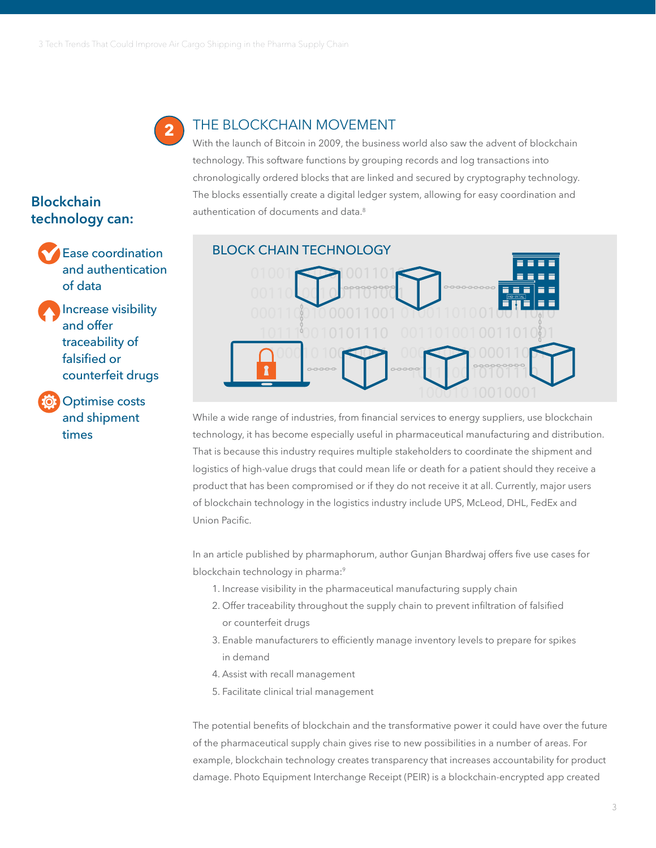

#### THE BLOCKCHAIN MOVEMENT

With the launch of Bitcoin in 2009, the business world also saw the advent of blockchain technology. This software functions by grouping records and log transactions into chronologically ordered blocks that are linked and secured by cryptography technology. The blocks essentially create a digital ledger system, allowing for easy coordination and authentication of documents and data.<sup>8</sup>



While a wide range of industries, from financial services to energy suppliers, use blockchain technology, it has become especially useful in pharmaceutical manufacturing and distribution. That is because this industry requires multiple stakeholders to coordinate the shipment and logistics of high-value drugs that could mean life or death for a patient should they receive a product that has been compromised or if they do not receive it at all. Currently, major users of blockchain technology in the logistics industry include UPS, McLeod, DHL, FedEx and Union Pacific.

In an article published by pharmaphorum, author Gunjan Bhardwaj offers five use cases for blockchain technology in pharma:<sup>9</sup>

- 1. Increase visibility in the pharmaceutical manufacturing supply chain
- 2. Offer traceability throughout the supply chain to prevent infiltration of falsified or counterfeit drugs
- 3. Enable manufacturers to efficiently manage inventory levels to prepare for spikes in demand
- 4. Assist with recall management
- 5. Facilitate clinical trial management

The potential benefits of blockchain and the transformative power it could have over the future of the pharmaceutical supply chain gives rise to new possibilities in a number of areas. For example, blockchain technology creates transparency that increases accountability for product damage. Photo Equipment Interchange Receipt (PEIR) is a blockchain-encrypted app created

## **Blockchain technology can:**

and authentication of data

Increase visibility and offer traceability of falsified or counterfeit drugs

Optimise costs and shipment times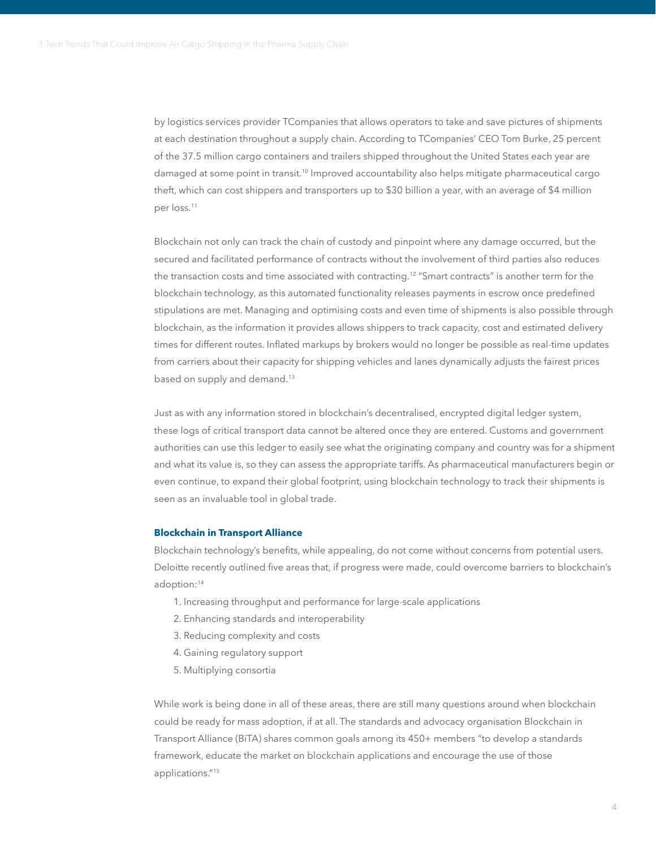by logistics services provider TCompanies that allows operators to take and save pictures of shipments at each destination throughout a supply chain. According to TCompanies' CEO Tom Burke, 25 percent of the 37.5 million cargo containers and trailers shipped throughout the United States each year are damaged at some point in transit.<sup>10</sup> Improved accountability also helps mitigate pharmaceutical cargo theft, which can cost shippers and transporters up to \$30 billion a year, with an average of \$4 million per loss.11

Blockchain not only can track the chain of custody and pinpoint where any damage occurred, but the secured and facilitated performance of contracts without the involvement of third parties also reduces the transaction costs and time associated with contracting.<sup>12</sup> "Smart contracts" is another term for the blockchain technology, as this automated functionality releases payments in escrow once predefined stipulations are met. Managing and optimising costs and even time of shipments is also possible through blockchain, as the information it provides allows shippers to track capacity, cost and estimated delivery times for different routes. Inflated markups by brokers would no longer be possible as real-time updates from carriers about their capacity for shipping vehicles and lanes dynamically adjusts the fairest prices based on supply and demand.13

Just as with any information stored in blockchain's decentralised, encrypted digital ledger system, these logs of critical transport data cannot be altered once they are entered. Customs and government authorities can use this ledger to easily see what the originating company and country was for a shipment and what its value is, so they can assess the appropriate tariffs. As pharmaceutical manufacturers begin or even continue, to expand their global footprint, using blockchain technology to track their shipments is seen as an invaluable tool in global trade.

#### **Blockchain in Transport Alliance**

Blockchain technology's benefits, while appealing, do not come without concerns from potential users. Deloitte recently outlined five areas that, if progress were made, could overcome barriers to blockchain's adoption:14

- 1. Increasing throughput and performance for large-scale applications
- 2. Enhancing standards and interoperability
- 3. Reducing complexity and costs
- 4. Gaining regulatory support
- 5. Multiplying consortia

While work is being done in all of these areas, there are still many questions around when blockchain could be ready for mass adoption, if at all. The standards and advocacy organisation Blockchain in Transport Alliance (BiTA) shares common goals among its 450+ members "to develop a standards framework, educate the market on blockchain applications and encourage the use of those applications."15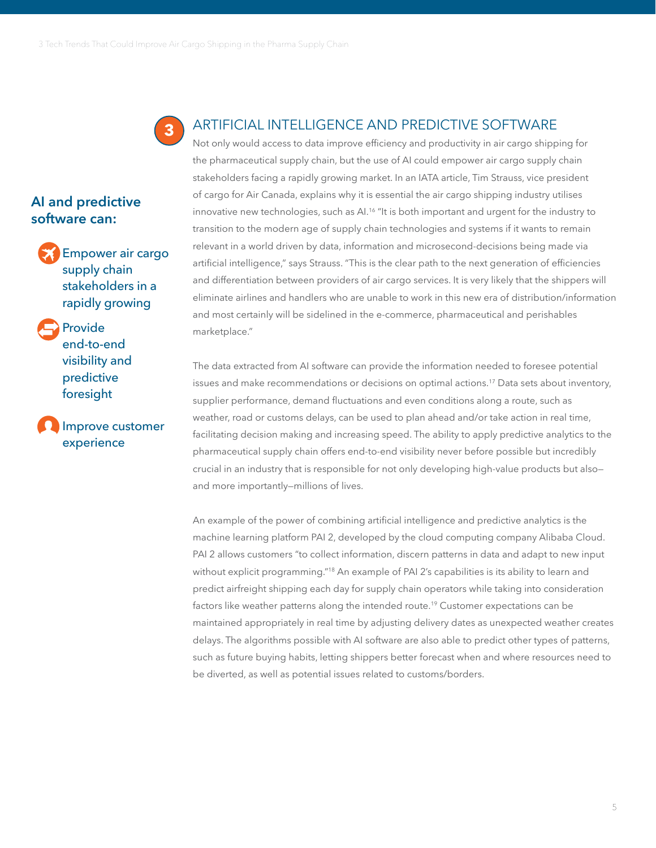

### ARTIFICIAL INTELLIGENCE AND PREDICTIVE SOFTWARE

Not only would access to data improve efficiency and productivity in air cargo shipping for the pharmaceutical supply chain, but the use of AI could empower air cargo supply chain stakeholders facing a rapidly growing market. In an IATA article, Tim Strauss, vice president of cargo for Air Canada, explains why it is essential the air cargo shipping industry utilises innovative new technologies, such as AI.<sup>16</sup> "It is both important and urgent for the industry to transition to the modern age of supply chain technologies and systems if it wants to remain relevant in a world driven by data, information and microsecond-decisions being made via artificial intelligence," says Strauss. "This is the clear path to the next generation of efficiencies and differentiation between providers of air cargo services. It is very likely that the shippers will eliminate airlines and handlers who are unable to work in this new era of distribution/information and most certainly will be sidelined in the e-commerce, pharmaceutical and perishables marketplace."

The data extracted from AI software can provide the information needed to foresee potential issues and make recommendations or decisions on optimal actions.17 Data sets about inventory, supplier performance, demand fluctuations and even conditions along a route, such as weather, road or customs delays, can be used to plan ahead and/or take action in real time, facilitating decision making and increasing speed. The ability to apply predictive analytics to the pharmaceutical supply chain offers end-to-end visibility never before possible but incredibly crucial in an industry that is responsible for not only developing high-value products but also and more importantly—millions of lives.

An example of the power of combining artificial intelligence and predictive analytics is the machine learning platform PAI 2, developed by the cloud computing company Alibaba Cloud. PAI 2 allows customers "to collect information, discern patterns in data and adapt to new input without explicit programming."<sup>18</sup> An example of PAI 2's capabilities is its ability to learn and predict airfreight shipping each day for supply chain operators while taking into consideration factors like weather patterns along the intended route.19 Customer expectations can be maintained appropriately in real time by adjusting delivery dates as unexpected weather creates delays. The algorithms possible with AI software are also able to predict other types of patterns, such as future buying habits, letting shippers better forecast when and where resources need to be diverted, as well as potential issues related to customs/borders.

Empower air cargo supply chain stakeholders in a rapidly growing

**AI and predictive software can:**

> Provide end-to-end visibility and predictive foresight

Improve customer experience